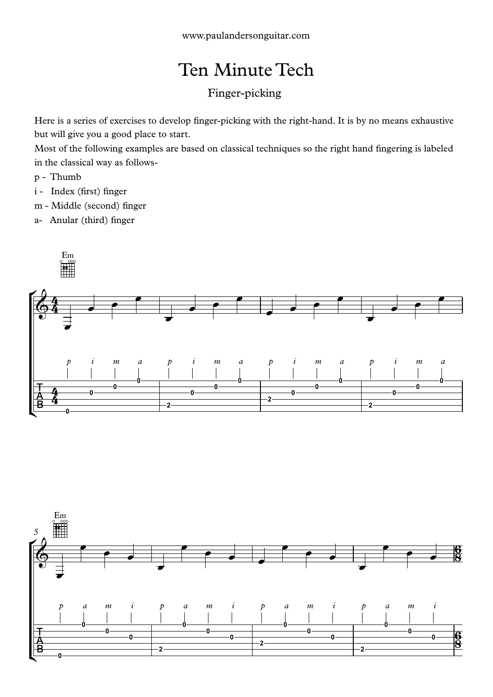## Ten Minute Tech

## Finger-picking

Here is a series of exercises to develop finger-picking with the right-hand. It is by no means exhaustive but will give you a good place to start.

Most of the following examples are based on classical techniques so the right hand fingering is labeled in the classical way as follows-

- p Thumb
- i Index (first) finger
- m Middle (second) finger
- a- Anular (third) finger



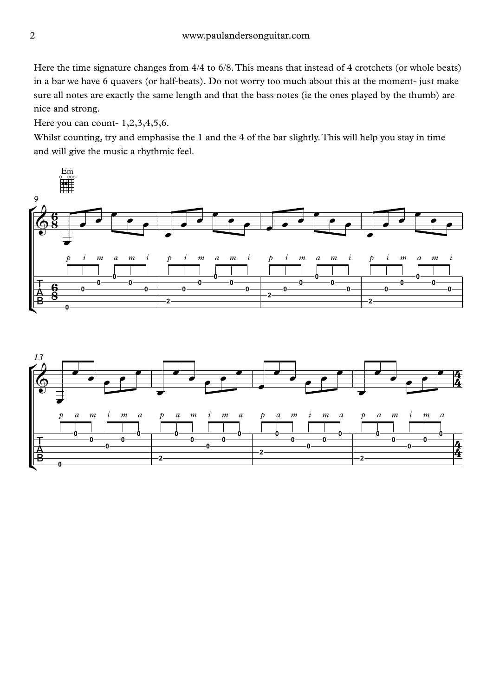Here the time signature changes from  $4/4$  to  $6/8$ . This means that instead of 4 crotchets (or whole beats) in a bar we have 6 quavers (or half-beats). Do not worry too much about this at the moment- just make sure all notes are exactly the same length and that the bass notes (ie the ones played by the thumb) are nice and strong.

Here you can count- 1,2,3,4,5,6.

Whilst counting, try and emphasise the 1 and the 4 of the bar slightly.This will help you stay in time and will give the music a rhythmic feel.